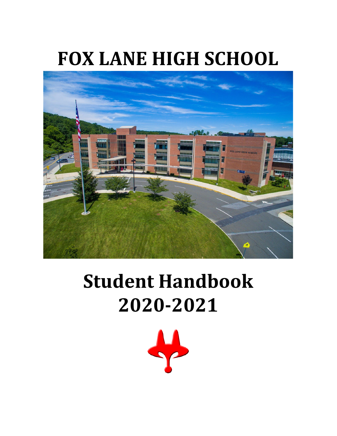# **FOX LANE HIGH SCHOOL**



# **Student Handbook 2020-2021**

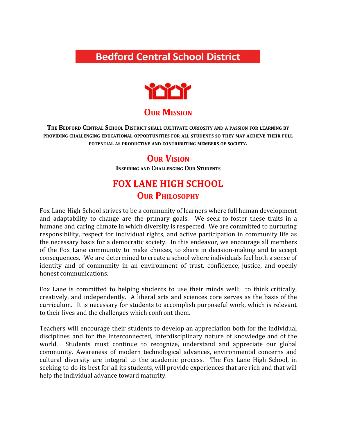# **Bedford Central School District**



### **OUR MISSION**

**THE BEDFORD CENTRAL SCHOOL DISTRICT SHALL CULTIVATE CURIOSITY AND <sup>A</sup> PASSION FOR LEARNING BY PROVIDING CHALLENGING EDUCATIONAL OPPORTUNITIES FOR ALL STUDENTS SO THEY MAY ACHIEVE THEIR FULL POTENTIAL AS PRODUCTIVE AND CONTRIBUTING MEMBERS OF SOCIETY.**

### **OUR VISION**

**INSPIRING AND CHALLENGING OUR STUDENTS**

# **FOX LANE HIGH SCHOOL OUR PHILOSOPHY**

Fox Lane High School strives to be a community of learners where full human development and adaptability to change are the primary goals. We seek to foster these traits in a humane and caring climate in which diversity is respected. We are committed to nurturing responsibility, respect for individual rights, and active participation in community life as the necessary basis for a democratic society. In this endeavor, we encourage all members of the Fox Lane community to make choices, to share in decision-making and to accept consequences. We are determined to create a school where individuals feel both a sense of identity and of community in an environment of trust, confidence, justice, and openly honest communications.

Fox Lane is committed to helping students to use their minds well: to think critically, creatively, and independently. A liberal arts and sciences core serves as the basis of the curriculum. It is necessary for students to accomplish purposeful work, which is relevant to their lives and the challenges which confront them.

Teachers will encourage their students to develop an appreciation both for the individual disciplines and for the interconnected, interdisciplinary nature of knowledge and of the world. Students must continue to recognize, understand and appreciate our global community. Awareness of modern technological advances, environmental concerns and cultural diversity are integral to the academic process. The Fox Lane High School, in seeking to do its best for all its students, will provide experiences that are rich and that will help the individual advance toward maturity.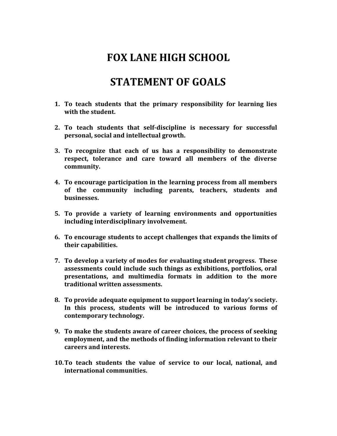# **FOX LANE HIGH SCHOOL**

# **STATEMENT OF GOALS**

- **1. To teach students that the primary responsibility for learning lies with the student.**
- **2. To teach students that self-discipline is necessary for successful personal, social and intellectual growth.**
- **3. To recognize that each of us has a responsibility to demonstrate respect, tolerance and care toward all members of the diverse community.**
- **4. To encourage participation in the learning process from all members of the community including parents, teachers, students and businesses.**
- **5. To provide a variety of learning environments and opportunities including interdisciplinary involvement.**
- **6. To encourage students to accept challenges that expands the limits of their capabilities.**
- **7. To develop a variety of modes for evaluating student progress. These assessments could include such things as exhibitions, portfolios, oral presentations, and multimedia formats in addition to the more traditional written assessments.**
- **8. To provide adequate equipment to support learning in today's society. In this process, students will be introduced to various forms of contemporary technology.**
- **9. To make the students aware of career choices, the process of seeking employment, and the methods of finding information relevant to their careers and interests.**
- **10.To teach students the value of service to our local, national, and international communities.**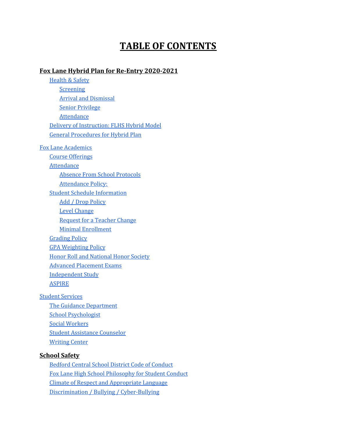# **TABLE OF CONTENTS**

#### **[Fox Lane Hybrid Plan for Re-Entry 2020-2021](#page-6-0)**

[Health](#page-6-1) & Safety [Screening](#page-6-2) Arrival and [Dismissal](#page-6-3) Senior [Privilege](#page-7-0) [Attendance](#page-7-1) Delivery of [Instruction:](#page-8-0) FLHS Hybrid Model General [Procedures](#page-8-1) for Hybrid Plan Fox Lane [Academics](#page-10-0) Course [Offerings](#page-10-1) [Attendance](#page-10-2) Absence From School [Protocols](#page-10-3) [Attendance](#page-11-0) Policy: Student Schedule [Information](#page-13-0) Add / Drop [Policy](#page-13-1) Level [Change](#page-13-2) [Request](#page-14-0) for a Teacher Change Minimal [Enrollment](#page-14-1) [Grading](#page-14-2) Policy GPA [Weighting](#page-14-3) Policy Honor Roll and [National](#page-15-0) Honor Society Advanced [Placement](#page-16-0) Exams [Independent](#page-16-1) Study [ASPIRE](#page-16-2) Student [Services](#page-16-3) The Guidance [Department](#page-16-4)

School [Psychologist](#page-17-0) Social [Workers](#page-17-1) Student [Assistance](#page-17-2) Counselor [Writing](#page-17-3) Center

#### **[School Safety](#page-18-0)**

Bedford Central School District Code of [Conduct](#page-18-1) Fox Lane High School [Philosophy](#page-18-2) for Student Conduct Climate of Respect and [Appropriate](#page-18-3) Language Discrimination / Bullying / [Cyber-Bullying](#page-18-3)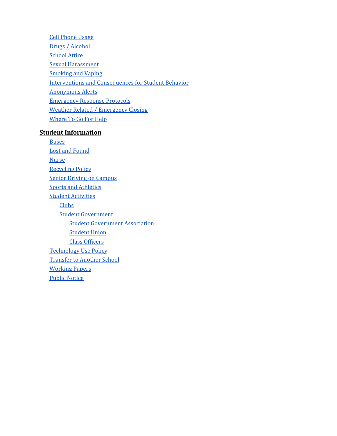Cell [Phone](#page-19-0) Usage Drugs / [Alcohol](#page-20-0) [School](#page-20-1) Attire Sexual [Harassment](#page-18-3) [Smoking](#page-18-3) and Vaping Interventions and [Consequences](#page-18-3) for Student Behavior [Anonymous](#page-23-0) Alerts [Emergency](#page-23-1) Response Protocols Weather Related / [Emergency](#page-23-2) Closing [Where](#page-24-0) To Go For Help

#### **[Student Information](#page-24-1)**

**[Buses](#page-24-2)** Lost and [Found](#page-24-3) **[Nurse](#page-24-4)** [Recycling](#page-24-5) Policy Senior Driving on [Campus](#page-25-0) Sports and [Athletics](#page-24-4) **Student [Activities](#page-24-4) [Clubs](#page-26-0)** Student [Government](#page-26-0) Student [Government](#page-27-0) Association [Student](#page-28-0) Union Class [Officers](#page-28-1) [Technology](#page-28-2) Use Policy [Transfer](#page-28-2) to Another School [Working](#page-29-0) Papers Public [Notice](#page-29-1)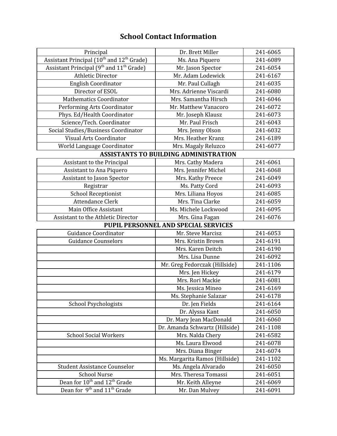### **School Contact Information**

| Principal                                                                                                   | Dr. Brett Miller                             | 241-6065 |
|-------------------------------------------------------------------------------------------------------------|----------------------------------------------|----------|
| Assistant Principal (10 <sup>th</sup> and 12 <sup>th</sup> Grade)                                           | Ms. Ana Piquero                              | 241-6089 |
| Assistant Principal (9 <sup>th</sup> and 11 <sup>th</sup> Grade)                                            | Mr. Jason Spector                            | 241-6054 |
| <b>Athletic Director</b>                                                                                    | Mr. Adam Lodewick                            | 241-6167 |
| <b>English Coordinator</b>                                                                                  | Mr. Paul Cullagh                             | 241-6035 |
| Director of ESOL                                                                                            | Mrs. Adrienne Viscardi                       | 241-6080 |
| <b>Mathematics Coordinator</b>                                                                              | Mrs. Samantha Hirsch                         | 241-6046 |
| Performing Arts Coordinator                                                                                 | Mr. Matthew Vanacoro                         | 241-6072 |
| Phys. Ed/Health Coordinator                                                                                 | Mr. Joseph Klausz                            | 241-6073 |
| Science/Tech. Coordinator                                                                                   | Mr. Paul Frisch                              | 241-6043 |
| Social Studies/Business Coordinator                                                                         | Mrs. Jenny Olson                             | 241-6032 |
| <b>Visual Arts Coordinator</b>                                                                              | Mrs. Heather Kranz                           | 241-6189 |
| World Language Coordinator                                                                                  | Mrs. Magaly Reluzco                          | 241-6077 |
|                                                                                                             | <b>ASSISTANTS TO BUILDING ADMINISTRATION</b> |          |
| Assistant to the Principal                                                                                  | Mrs. Cathy Madera                            | 241-6061 |
| Assistant to Ana Piquero                                                                                    | Mrs. Jennifer Michel                         | 241-6068 |
| Assistant to Jason Spector                                                                                  | Mrs. Kathy Preece                            | 241-6049 |
| Registrar                                                                                                   | Ms. Patty Cord                               | 241-6093 |
| <b>School Receptionist</b>                                                                                  | Mrs. Liliana Hoyos                           | 241-6085 |
| <b>Attendance Clerk</b>                                                                                     | Mrs. Tina Clarke                             | 241-6059 |
| Main Office Assistant                                                                                       | Ms. Michele Lockwood                         | 241-6095 |
| Assistant to the Athletic Director                                                                          | Mrs. Gina Fagan                              | 241-6076 |
|                                                                                                             | PUPIL PERSONNEL AND SPECIAL SERVICES         |          |
| <b>Guidance Coordinator</b>                                                                                 | Mr. Steve Marcisz                            | 241-6053 |
|                                                                                                             |                                              |          |
| <b>Guidance Counselors</b>                                                                                  | Mrs. Kristin Brown                           | 241-6191 |
|                                                                                                             | Mrs. Karen Deitch                            | 241-6190 |
|                                                                                                             | Mrs. Lisa Dunne                              | 241-6092 |
|                                                                                                             | Mr. Greg Fedorczak (Hillside)                | 241-1106 |
|                                                                                                             | Mrs. Jen Hickey                              | 241-6179 |
|                                                                                                             | Mrs. Rori Mackie                             | 241-6081 |
|                                                                                                             | Ms. Jessica Mineo                            | 241-6169 |
|                                                                                                             | Ms. Stephanie Salazar                        | 241-6178 |
| <b>School Psychologists</b>                                                                                 | Dr. Jen Fields                               | 241-6164 |
|                                                                                                             | Dr. Alyssa Kant                              | 241-6050 |
|                                                                                                             | Dr. Mary Jean MacDonald                      | 241-6060 |
|                                                                                                             | Dr. Amanda Schwartz (Hillside)               | 241-1108 |
| <b>School Social Workers</b>                                                                                | Mrs. Nalda Chery                             | 241-6582 |
|                                                                                                             | Ms. Laura Elwood                             | 241-6078 |
|                                                                                                             | Mrs. Diana Binger                            | 241-6074 |
|                                                                                                             | Ms. Margarita Ramos (Hillside)               | 241-1102 |
| <b>Student Assistance Counselor</b>                                                                         | Ms. Angela Alvarado                          | 241-6050 |
| <b>School Nurse</b>                                                                                         | Mrs. Theresa Tomassi                         | 241-6051 |
| Dean for 10 <sup>th</sup> and 12 <sup>th</sup> Grade<br>Dean for 9 <sup>th</sup> and 11 <sup>th</sup> Grade | Mr. Keith Alleyne                            | 241-6069 |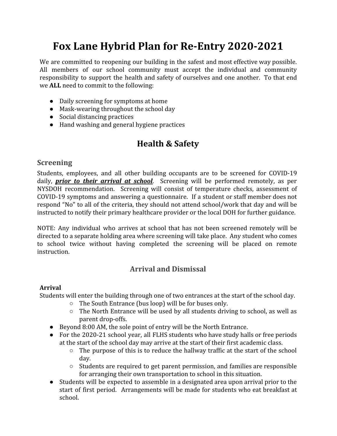# <span id="page-6-0"></span>**Fox Lane Hybrid Plan for Re-Entry 2020-2021**

We are committed to reopening our building in the safest and most effective way possible. All members of our school community must accept the individual and community responsibility to support the health and safety of ourselves and one another. To that end we **ALL** need to commit to the following:

- Daily screening for symptoms at home
- Mask-wearing throughout the school day
- Social distancing practices
- <span id="page-6-1"></span>● Hand washing and general hygiene practices

# **Health & Safety**

#### <span id="page-6-2"></span>**Screening**

Students, employees, and all other building occupants are to be screened for COVID-19 daily, *prior to their arrival at school*. Screening will be performed remotely, as per NYSDOH recommendation. Screening will consist of temperature checks, assessment of COVID-19 symptoms and answering a questionnaire. If a student or staff member does not respond "No" to all of the criteria, they should not attend school/work that day and will be instructed to notify their primary healthcare provider or the local DOH for further guidance.

NOTE: Any individual who arrives at school that has not been screened remotely will be directed to a separate holding area where screening will take place. Any student who comes to school twice without having completed the screening will be placed on remote instruction.

### **Arrival and Dismissal**

#### <span id="page-6-3"></span>**Arrival**

Students will enter the building through one of two entrances at the start of the school day.

- The South Entrance (bus loop) will be for buses only.
- The North Entrance will be used by all students driving to school, as well as parent drop-offs.
- Beyond 8:00 AM, the sole point of entry will be the North Entrance.
- For the 2020-21 school year, all FLHS students who have study halls or free periods at the start of the school day may arrive at the start of their first academic class.
	- The purpose of this is to reduce the hallway traffic at the start of the school day.
	- Students are required to get parent permission, and families are responsible for arranging their own transportation to school in this situation.
- Students will be expected to assemble in a designated area upon arrival prior to the start of first period. Arrangements will be made for students who eat breakfast at school.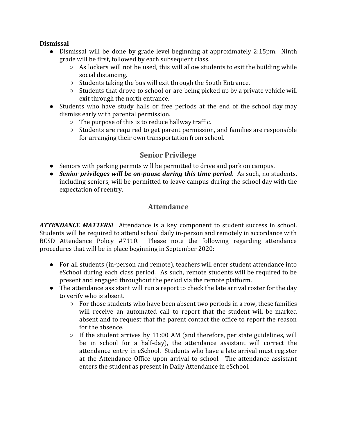#### **Dismissal**

- Dismissal will be done by grade level beginning at approximately 2:15pm. Ninth grade will be first, followed by each subsequent class.
	- $\circ$  As lockers will not be used, this will allow students to exit the building while social distancing.
	- Students taking the bus will exit through the South Entrance.
	- Students that drove to school or are being picked up by a private vehicle will exit through the north entrance.
- Students who have study halls or free periods at the end of the school day may dismiss early with parental permission.
	- The purpose of this is to reduce hallway traffic.
	- Students are required to get parent permission, and families are responsible for arranging their own transportation from school.

### **Senior Privilege**

- <span id="page-7-0"></span>● Seniors with parking permits will be permitted to drive and park on campus.
- <span id="page-7-1"></span>● *Senior privileges will be on-pause during this time period*. As such, no students, including seniors, will be permitted to leave campus during the school day with the expectation of reentry.

### **Attendance**

*ATTENDANCE MATTERS!* Attendance is a key component to student success in school. Students will be required to attend school daily in-person and remotely in accordance with BCSD Attendance Policy #7110. Please note the following regarding attendance procedures that will be in place beginning in September 2020:

- For all students (in-person and remote), teachers will enter student attendance into eSchool during each class period. As such, remote students will be required to be present and engaged throughout the period via the remote platform.
- The attendance assistant will run a report to check the late arrival roster for the day to verify who is absent.
	- $\circ$  For those students who have been absent two periods in a row, these families will receive an automated call to report that the student will be marked absent and to request that the parent contact the office to report the reason for the absence.
	- $\circ$  If the student arrives by 11:00 AM (and therefore, per state guidelines, will be in school for a half-day), the attendance assistant will correct the attendance entry in eSchool. Students who have a late arrival must register at the Attendance Office upon arrival to school. The attendance assistant enters the student as present in Daily Attendance in eSchool.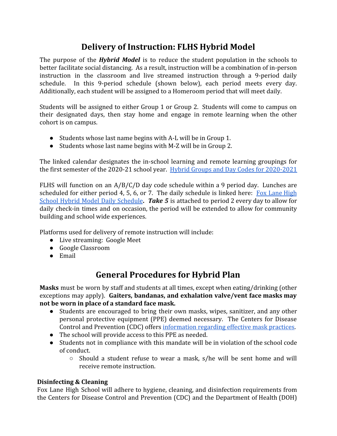# **Delivery of Instruction: FLHS Hybrid Model**

<span id="page-8-0"></span>The purpose of the *Hybrid Model* is to reduce the student population in the schools to better facilitate social distancing. As a result, instruction will be a combination of in-person instruction in the classroom and live streamed instruction through a 9-period daily schedule. In this 9-period schedule (shown below), each period meets every day. Additionally, each student will be assigned to a Homeroom period that will meet daily.

Students will be assigned to either Group 1 or Group 2. Students will come to campus on their designated days, then stay home and engage in remote learning when the other cohort is on campus.

- Students whose last name begins with A-L will be in Group 1.
- Students whose last name begins with M-Z will be in Group 2.

The linked calendar designates the in-school learning and remote learning groupings for the first semester of the 2020-21 school year. [Hybrid Groups and Day Codes for 2020-2021](https://documentcloud.adobe.com/link/track?uri=urn:aaid:scds:US:4bd490c8-6ab0-4855-90d7-130a54b0f89f)

FLHS will function on an A/B/C/D day code schedule within a 9 period day. Lunches are scheduled for either period 4, 5, 6, or 7. The daily schedule is linked here:  $\frac{Fox \text{ Lane High}}{Fox \text{}$  $\frac{Fox \text{ Lane High}}{Fox \text{}$  $\frac{Fox \text{ Lane High}}{Fox \text{}$ School Hybrid Model Daily [Schedule](https://documentcloud.adobe.com/link/track?uri=urn:aaid:scds:US:c75b7eb3-4464-404c-95aa-b512a47ac944)**.** *Take 5* is attached to period 2 every day to allow for daily check-in times and on occasion, the period will be extended to allow for community building and school wide experiences.

Platforms used for delivery of remote instruction will include:

- Live streaming: Google Meet
- Google Classroom
- <span id="page-8-1"></span>● Email

# **General Procedures for Hybrid Plan**

**Masks** must be worn by staff and students at all times, except when eating/drinking (other exceptions may apply). **Gaiters, bandanas, and exhalation valve/vent face masks may not be worn in place of a standard face mask.**

- Students are encouraged to bring their own masks, wipes, sanitizer, and any other personal protective equipment (PPE) deemed necessary. The Centers for Disease Control and Prevention (CDC) offers [information regarding effective mask practices.](https://www.cdc.gov/coronavirus/2019-ncov/prevent-getting-sick/diy-cloth-face-coverings.html)
- The school will provide access to this PPE as needed.
- Students not in compliance with this mandate will be in violation of the school code of conduct.
	- Should a student refuse to wear a mask, s/he will be sent home and will receive remote instruction.

#### **Disinfecting & Cleaning**

Fox Lane High School will adhere to hygiene, cleaning, and disinfection requirements from the Centers for Disease Control and Prevention (CDC) and the Department of Health (DOH)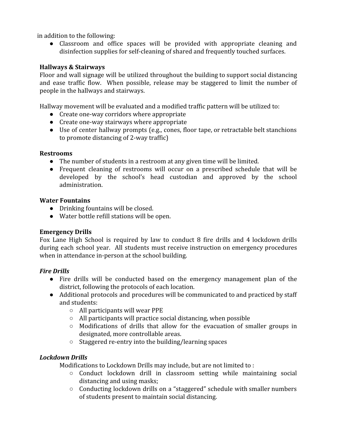in addition to the following:

● Classroom and office spaces will be provided with appropriate cleaning and disinfection supplies for self-cleaning of shared and frequently touched surfaces.

#### **Hallways & Stairways**

Floor and wall signage will be utilized throughout the building to support social distancing and ease traffic flow. When possible, release may be staggered to limit the number of people in the hallways and stairways.

Hallway movement will be evaluated and a modified traffic pattern will be utilized to:

- Create one-way corridors where appropriate
- Create one-way stairways where appropriate
- Use of center hallway prompts (e.g., cones, floor tape, or retractable belt stanchions to promote distancing of 2-way traffic)

#### **Restrooms**

- The number of students in a restroom at any given time will be limited.
- Frequent cleaning of restrooms will occur on a prescribed schedule that will be developed by the school's head custodian and approved by the school administration.

#### **Water Fountains**

- Drinking fountains will be closed.
- Water bottle refill stations will be open.

#### **Emergency Drills**

Fox Lane High School is required by law to conduct 8 fire drills and 4 lockdown drills during each school year. All students must receive instruction on emergency procedures when in attendance in-person at the school building.

#### *Fire Drills*

- Fire drills will be conducted based on the emergency management plan of the district, following the protocols of each location.
- Additional protocols and procedures will be communicated to and practiced by staff and students:
	- All participants will wear PPE
	- All participants will practice social distancing, when possible
	- Modifications of drills that allow for the evacuation of smaller groups in designated, more controllable areas.
	- Staggered re-entry into the building/learning spaces

#### *Lockdown Drills*

Modifications to Lockdown Drills may include, but are not limited to :

- Conduct lockdown drill in classroom setting while maintaining social distancing and using masks;
- Conducting lockdown drills on a "staggered" schedule with smaller numbers of students present to maintain social distancing.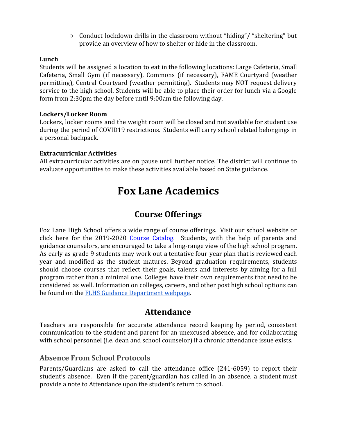$\circ$  Conduct lockdown drills in the classroom without "hiding"/ "sheltering" but provide an overview of how to shelter or hide in the classroom.

#### **Lunch**

Students will be assigned a location to eat in the following locations: Large Cafeteria, Small Cafeteria, Small Gym (if necessary), Commons (if necessary), FAME Courtyard (weather permitting), Central Courtyard (weather permitting). Students may NOT request delivery service to the high school. Students will be able to place their order for lunch via a Google form from 2:30pm the day before until 9:00am the following day.

#### **Lockers/Locker Room**

Lockers, locker rooms and the weight room will be closed and not available for student use during the period of COVID19 restrictions. Students will carry school related belongings in a personal backpack.

#### **Extracurricular Activities**

<span id="page-10-0"></span>All extracurricular activities are on pause until further notice. The district will continue to evaluate opportunities to make these activities available based on State guidance.

# **Fox Lane Academics**

### **Course Offerings**

<span id="page-10-1"></span>Fox Lane High School offers a wide range of course offerings. Visit our school website or click here for the 2019-2020 Course [Catalog](https://www.bcsdny.org/Page/2090). Students, with the help of parents and guidance counselors, are encouraged to take a long-range view of the high school program. As early as grade 9 students may work out a tentative four-year plan that is reviewed each year and modified as the student matures. Beyond graduation requirements, students should choose courses that reflect their goals, talents and interests by aiming for a full program rather than a minimal one. Colleges have their own requirements that need to be considered as well. Information on colleges, careers, and other post high school options can be found on the [FLHS Guidance Department webpage](https://www.bcsdny.org/Page/949).

### **Attendance**

<span id="page-10-2"></span>Teachers are responsible for accurate attendance record keeping by period, consistent communication to the student and parent for an unexcused absence, and for collaborating with school personnel (i.e. dean and school counselor) if a chronic attendance issue exists.

#### <span id="page-10-3"></span>**Absence From School Protocols**

Parents/Guardians are asked to call the attendance office (241-6059) to report their student's absence. Even if the parent/guardian has called in an absence, a student must provide a note to Attendance upon the student's return to school.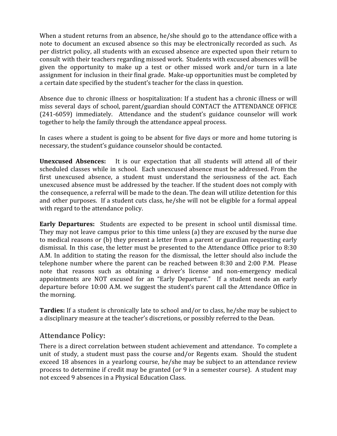When a student returns from an absence, he/she should go to the attendance office with a note to document an excused absence so this may be electronically recorded as such. As per district policy, all students with an excused absence are expected upon their return to consult with their teachers regarding missed work. Students with excused absences will be given the opportunity to make up a test or other missed work and/or turn in a late assignment for inclusion in their final grade. Make-up opportunities must be completed by a certain date specified by the student's teacher for the class in question.

Absence due to chronic illness or hospitalization: If a student has a chronic illness or will miss several days of school, parent/guardian should CONTACT the ATTENDANCE OFFICE (241-6059) immediately. Attendance and the student's guidance counselor will work together to help the family through the attendance appeal process.

In cases where a student is going to be absent for five days or more and home tutoring is necessary, the student's guidance counselor should be contacted.

**Unexcused Absences:** It is our expectation that all students will attend all of their scheduled classes while in school. Each unexcused absence must be addressed. From the first unexcused absence, a student must understand the seriousness of the act. Each unexcused absence must be addressed by the teacher. If the student does not comply with the consequence, a referral will be made to the dean. The dean will utilize detention for this and other purposes. If a student cuts class, he/she will not be eligible for a formal appeal with regard to the attendance policy.

**Early Departures:** Students are expected to be present in school until dismissal time. They may not leave campus prior to this time unless (a) they are excused by the nurse due to medical reasons or (b) they present a letter from a parent or guardian requesting early dismissal. In this case, the letter must be presented to the Attendance Office prior to 8:30 A.M. In addition to stating the reason for the dismissal, the letter should also include the telephone number where the parent can be reached between 8:30 and 2:00 P.M. Please note that reasons such as obtaining a driver's license and non-emergency medical appointments are NOT excused for an "Early Departure." If a student needs an early departure before 10:00 A.M. we suggest the student's parent call the Attendance Office in the morning.

**Tardies:** If a student is chronically late to school and/or to class, he/she may be subject to a disciplinary measure at the teacher's discretions, or possibly referred to the Dean.

#### <span id="page-11-0"></span>**Attendance Policy:**

There is a direct correlation between student achievement and attendance. To complete a unit of study, a student must pass the course and/or Regents exam. Should the student exceed 18 absences in a yearlong course, he/she may be subject to an attendance review process to determine if credit may be granted (or 9 in a semester course). A student may not exceed 9 absences in a Physical Education Class.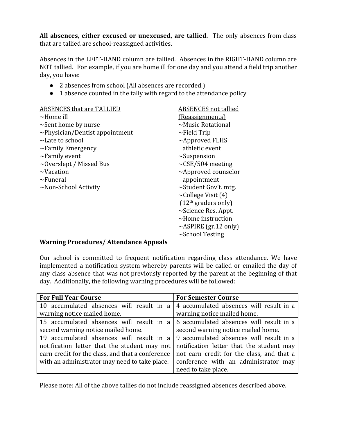**All absences, either excused or unexcused, are tallied.** The only absences from class that are tallied are school-reassigned activities.

Absences in the LEFT-HAND column are tallied. Absences in the RIGHT-HAND column are NOT tallied. For example, if you are home ill for one day and you attend a field trip another day, you have:

- 2 absences from school (All absences are recorded.)
- 1 absence counted in the tally with regard to the attendance policy

| <b>ABSENCES that are TALLIED</b>     | <b>ABSENCES</b> not tallied |
|--------------------------------------|-----------------------------|
| $\sim$ Home ill                      | (Reassignments)             |
| $\sim$ Sent home by nurse            | $\sim$ Music Rotational     |
| $\sim$ Physician/Dentist appointment | $\sim$ Field Trip           |
| $\sim$ Late to school                | $\sim$ Approved FLHS        |
| $\sim$ Family Emergency              | athletic event              |
| $\sim$ Family event                  | $\sim$ Suspension           |
| $\sim$ Overslept / Missed Bus        | $\sim$ CSE/504 meeting      |
| $\sim$ Vacation                      | $\sim$ Approved counselor   |
| $\sim$ Funeral                       | appointment                 |
| $\sim$ Non-School Activity           | $\sim$ Student Gov't. mtg.  |
|                                      | $\sim$ College Visit (4)    |
|                                      | $(12th$ graders only)       |
|                                      | $\sim$ Science Res. Appt.   |
|                                      | $\sim$ Home instruction     |
|                                      | $\sim$ ASPIRE (gr.12 only)  |

#### ~School Testing

#### **Warning Procedures/ Attendance Appeals**

Our school is committed to frequent notification regarding class attendance. We have implemented a notification system whereby parents will be called or emailed the day of any class absence that was not previously reported by the parent at the beginning of that day. Additionally, the following warning procedures will be followed:

| <b>For Full Year Course</b>                                                              | <b>For Semester Course</b>                |  |
|------------------------------------------------------------------------------------------|-------------------------------------------|--|
| 10 accumulated absences will result in a $\vert$ 4 accumulated absences will result in a |                                           |  |
| warning notice mailed home.                                                              | warning notice mailed home.               |  |
| 15 accumulated absences will result in a $\vert 6$ accumulated absences will result in a |                                           |  |
| second warning notice mailed home.                                                       | second warning notice mailed home.        |  |
| 19 accumulated absences will result in a $\vert$ 9 accumulated absences will result in a |                                           |  |
| notification letter that the student may not                                             | notification letter that the student may  |  |
| earn credit for the class, and that a conference                                         | not earn credit for the class, and that a |  |
| with an administrator may need to take place.                                            | conference with an administrator may      |  |
|                                                                                          | need to take place.                       |  |

Please note: All of the above tallies do not include reassigned absences described above.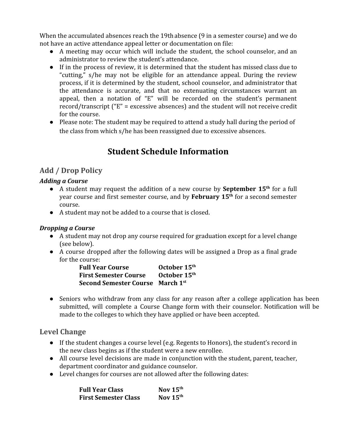When the accumulated absences reach the 19thabsence (9 in a semester course) and we do not have an active attendance appeal letter or documentation on file:

- A meeting may occur which will include the student, the school counselor, and an administrator to review the student's attendance.
- If in the process of review, it is determined that the student has missed class due to "cutting," s/he may not be eligible for an attendance appeal. During the review process, if it is determined by the student, school counselor, and administrator that the attendance is accurate, and that no extenuating circumstances warrant an appeal, then a notation of "E" will be recorded on the student's permanent record/transcript ("E" = excessive absences) and the student will not receive credit for the course.
- <span id="page-13-0"></span>• Please note: The student may be required to attend a study hall during the period of the class from which s/he has been reassigned due to excessive absences.

# **Student Schedule Information**

### <span id="page-13-1"></span>**Add / Drop Policy**

#### *Adding a Course*

- *●* A student may request the addition of a new course by **September 15th** for a full year course and first semester course, and by **February 15th** for a second semester course.
- **●** A student may not be added to a course that is closed.

#### *Dropping a Course*

- **●** A student may not drop any course required for graduation except for a level change (see below).
- **●** A course dropped after the following dates will be assigned a Drop as a final grade for the course:

| <b>Full Year Course</b>                 | October 15 <sup>th</sup> |
|-----------------------------------------|--------------------------|
| <b>First Semester Course</b>            | October 15 <sup>th</sup> |
| <b>Second Semester Course</b> March 1st |                          |

**●** Seniors who withdraw from any class for any reason after a college application has been submitted, will complete a Course Change form with their counselor. Notification will be made to the colleges to which they have applied or have been accepted.

#### <span id="page-13-2"></span>**Level Change**

- **●** If the student changes a course level (e.g. Regents to Honors), the student's record in the new class begins as if the student were a new enrollee.
- **●** All course level decisions are made in conjunction with the student, parent, teacher, department coordinator and guidance counselor.
- **●** Level changes for courses are not allowed after the following dates:

| <b>Full Year Class</b>      | Nov $15th$ |
|-----------------------------|------------|
| <b>First Semester Class</b> | Nov $15th$ |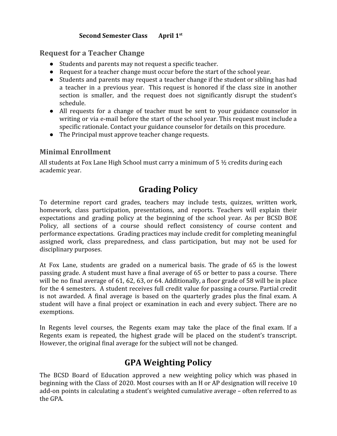#### **Second Semester Class April 1st**

#### <span id="page-14-0"></span>**Request for a Teacher Change**

- Students and parents may not request a specific teacher.
- Request for a teacher change must occur before the start of the school year.
- Students and parents may request a teacher change if the student or sibling has had a teacher in a previous year. This request is honored if the class size in another section is smaller, and the request does not significantly disrupt the student's schedule.
- All requests for a change of teacher must be sent to your guidance counselor in writing or via e-mail before the start of the school year. This request must include a specific rationale. Contact your guidance counselor for details on this procedure.
- The Principal must approve teacher change requests.

### <span id="page-14-1"></span>**Minimal Enrollment**

<span id="page-14-2"></span>All students at Fox Lane High School must carry a minimum of  $5\frac{1}{2}$  credits during each academic year.

# **Grading Policy**

To determine report card grades, teachers may include tests, quizzes, written work, homework, class participation, presentations, and reports. Teachers will explain their expectations and grading policy at the beginning of the school year. As per BCSD BOE Policy, all sections of a course should reflect consistency of course content and performance expectations. Grading practices may include credit for completing meaningful assigned work, class preparedness, and class participation, but may not be used for disciplinary purposes.

At Fox Lane, students are graded on a numerical basis. The grade of 65 is the lowest passing grade. A student must have a final average of 65 or better to pass a course. There will be no final average of 61, 62, 63, or 64. Additionally, a floor grade of 58 will be in place for the 4 semesters. A student receives full credit value for passing a course. Partial credit is not awarded. A final average is based on the quarterly grades plus the final exam. A student will have a final project or examination in each and every subject. There are no exemptions.

<span id="page-14-3"></span>In Regents level courses, the Regents exam may take the place of the final exam. If a Regents exam is repeated, the highest grade will be placed on the student's transcript. However, the original final average for the subject will not be changed.

# **GPA Weighting Policy**

The BCSD Board of Education approved a new weighting policy which was phased in beginning with the Class of 2020. Most courses with an H or AP designation will receive 10 add-on points in calculating a student's weighted cumulative average – often referred to as the GPA.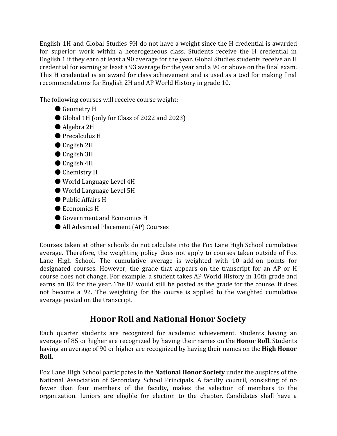English 1H and Global Studies 9H do not have a weight since the H credential is awarded for superior work within a heterogeneous class. Students receive the H credential in English 1 if they earn at least a 90 average for the year. Global Studies students receive an H credential for earning at least a 93 average for the year and a 90 or above on the final exam. This H credential is an award for class achievement and is used as a tool for making final recommendations for English 2H and AP World History in grade 10.

The following courses will receive course weight:

- Geometry H
- Global 1H (only for Class of 2022 and 2023)
- Algebra 2H
- Precalculus H
- English 2H
- English 3H
- English 4H
- Chemistry H
- World Language Level 4H
- World Language Level 5H
- Public Affairs H
- Economics H
- Government and Economics H
- All Advanced Placement (AP) Courses

Courses taken at other schools do not calculate into the Fox Lane High School cumulative average. Therefore, the weighting policy does not apply to courses taken outside of Fox Lane High School. The cumulative average is weighted with 10 add-on points for designated courses. However, the grade that appears on the transcript for an AP or H course does not change. For example, a student takes AP World History in 10th grade and earns an 82 for the year. The 82 would still be posted as the grade for the course. It does not become a 92. The weighting for the course is applied to the weighted cumulative average posted on the transcript.

### **Honor Roll and National Honor Society**

<span id="page-15-0"></span>Each quarter students are recognized for academic achievement. Students having an average of 85 or higher are recognized by having their names on the **Honor Roll.** Students having an average of 90 or higher are recognized by having their names on the **High Honor Roll.**

Fox Lane High School participates in the **National Honor Society** under the auspices of the National Association of Secondary School Principals. A faculty council, consisting of no fewer than four members of the faculty, makes the selection of members to the organization. Juniors are eligible for election to the chapter. Candidates shall have a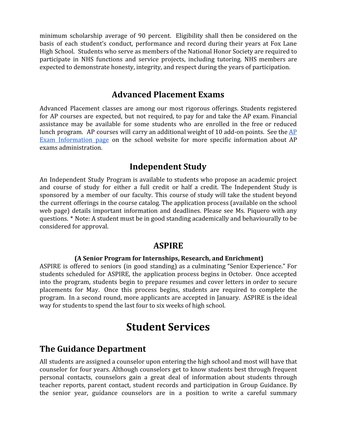minimum scholarship average of 90 percent. Eligibility shall then be considered on the basis of each student's conduct, performance and record during their years at Fox Lane High School. Students who serve as members of the National Honor Society are required to participate in NHS functions and service projects, including tutoring. NHS members are expected to demonstrate honesty, integrity, and respect during the years of participation.

### **Advanced Placement Exams**

<span id="page-16-0"></span>Advanced Placement classes are among our most rigorous offerings. Students registered for AP courses are expected, but not required, to pay for and take the AP exam. Financial assistance may be available for some students who are enrolled in the free or reduced lunch program. AP courses will carry an additional weight of 10 add-on points. See the [AP](https://www.bcsdny.org/Domain/514) Exam [Information](https://www.bcsdny.org/Domain/514) page on the school website for more specific information about AP exams administration.

### **Independent Study**

<span id="page-16-1"></span>An Independent Study Program is available to students who propose an academic project and course of study for either a full credit or half a credit. The Independent Study is sponsored by a member of our faculty. This course of study will take the student beyond the current offerings in the course catalog. The application process (available on the school web page) details important information and deadlines. Please see Ms. Piquero with any questions. \* Note: A student must be in good standing academically and behaviourally to be considered for approval.

### **ASPIRE**

#### **(A Senior Program for Internships, Research, and Enrichment)**

<span id="page-16-2"></span>ASPIRE is offered to seniors (in good standing) as a culminating "Senior Experience." For students scheduled for ASPIRE, the application process begins in October. Once accepted into the program, students begin to prepare resumes and cover letters in order to secure placements for May. Once this process begins, students are required to complete the program. In a second round, more applicants are accepted in January. ASPIRE is the ideal way for students to spend the last four to six weeks of high school.

# **Student Services**

### <span id="page-16-4"></span><span id="page-16-3"></span>**The Guidance Department**

All students are assigned a counselor upon entering the high school and most will have that counselor for four years. Although counselors get to know students best through frequent personal contacts, counselors gain a great deal of information about students through teacher reports, parent contact, student records and participation in Group Guidance. By the senior year, guidance counselors are in a position to write a careful summary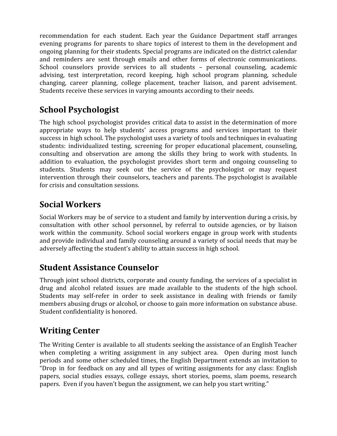recommendation for each student. Each year the Guidance Department staff arranges evening programs for parents to share topics of interest to them in the development and ongoing planning for their students. Special programs are indicated on the district calendar and reminders are sent through emails and other forms of electronic communications. School counselors provide services to all students – personal counseling, academic advising, test interpretation, record keeping, high school program planning, schedule changing, career planning, college placement, teacher liaison, and parent advisement. Students receive these services in varying amounts according to their needs.

# <span id="page-17-0"></span>**School Psychologist**

The high school psychologist provides critical data to assist in the determination of more appropriate ways to help students' access programs and services important to their success in high school. The psychologist uses a variety of tools and techniques in evaluating students: individualized testing, screening for proper educational placement, counseling, consulting and observation are among the skills they bring to work with students. In addition to evaluation, the psychologist provides short term and ongoing counseling to students. Students may seek out the service of the psychologist or may request intervention through their counselors, teachers and parents. The psychologist is available for crisis and consultation sessions.

# <span id="page-17-1"></span>**Social Workers**

Social Workers may be of service to a student and family by intervention during a crisis, by consultation with other school personnel, by referral to outside agencies, or by liaison work within the community. School social workers engage in group work with students and provide individual and family counseling around a variety of social needs that may be adversely affecting the student's ability to attain success in high school.

### <span id="page-17-2"></span>**Student Assistance Counselor**

Through joint school districts, corporate and county funding, the services of a specialist in drug and alcohol related issues are made available to the students of the high school. Students may self-refer in order to seek assistance in dealing with friends or family members abusing drugs or alcohol, or choose to gain more information on substance abuse. Student confidentiality is honored.

# <span id="page-17-3"></span>**Writing Center**

The Writing Center is available to all students seeking the assistance of an English Teacher when completing a writing assignment in any subject area. Open during most lunch periods and some other scheduled times, the English Department extends an invitation to "Drop in for feedback on any and all types of writing assignments for any class: English papers, social studies essays, college essays, short stories, poems, slam poems, research papers. Even if you haven't begun the assignment, we can help you start writing."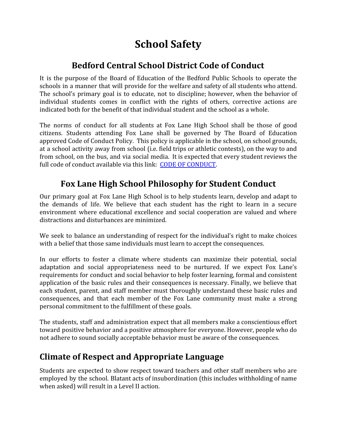# **School Safety**

## **Bedford Central School District Code of Conduct**

<span id="page-18-1"></span><span id="page-18-0"></span>It is the purpose of the Board of Education of the Bedford Public Schools to operate the schools in a manner that will provide for the welfare and safety of all students who attend. The school's primary goal is to educate, not to discipline; however, when the behavior of individual students comes in conflict with the rights of others, corrective actions are indicated both for the benefit of that individual student and the school as a whole.

The norms of conduct for all students at Fox Lane High School shall be those of good citizens. Students attending Fox Lane shall be governed by The Board of Education approved Code of Conduct Policy. This policy is applicable in the school, on school grounds, at a school activity away from school (i.e. field trips or athletic contests), on the way to and from school, on the bus, and via social media. It is expected that every student reviews the full code of conduct available via this link: [CODE OF CONDUCT](https://www.bcsdny.org/Page/1674).

# <span id="page-18-2"></span>**Fox Lane High School Philosophy for Student Conduct**

Our primary goal at Fox Lane High School is to help students learn, develop and adapt to the demands of life. We believe that each student has the right to learn in a secure environment where educational excellence and social cooperation are valued and where distractions and disturbances are minimized.

We seek to balance an understanding of respect for the individual's right to make choices with a belief that those same individuals must learn to accept the consequences.

In our efforts to foster a climate where students can maximize their potential, social adaptation and social appropriateness need to be nurtured. If we expect Fox Lane's requirements for conduct and social behavior to help foster learning, formal and consistent application of the basic rules and their consequences is necessary. Finally, we believe that each student, parent, and staff member must thoroughly understand these basic rules and consequences, and that each member of the Fox Lane community must make a strong personal commitment to the fulfillment of these goals.

The students, staff and administration expect that all members make a conscientious effort toward positive behavior and a positive atmosphere for everyone. However, people who do not adhere to sound socially acceptable behavior must be aware of the consequences.

### <span id="page-18-3"></span>**Climate of Respect and Appropriate Language**

Students are expected to show respect toward teachers and other staff members who are employed by the school. Blatant acts of insubordination (this includes withholding of name when asked) will result in a Level II action.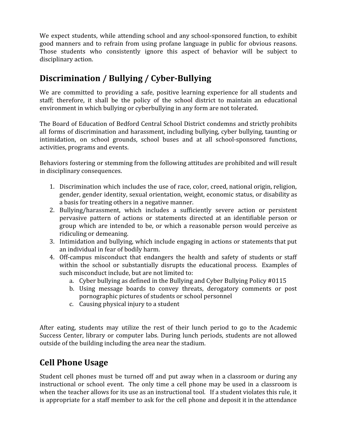We expect students, while attending school and any school-sponsored function, to exhibit good manners and to refrain from using profane language in public for obvious reasons. Those students who consistently ignore this aspect of behavior will be subject to disciplinary action.

# **Discrimination / Bullying / Cyber-Bullying**

We are committed to providing a safe, positive learning experience for all students and staff; therefore, it shall be the policy of the school district to maintain an educational environment in which bullying or cyberbullying in any form are not tolerated.

The Board of Education of Bedford Central School District condemns and strictly prohibits all forms of discrimination and harassment, including bullying, cyber bullying, taunting or intimidation, on school grounds, school buses and at all school-sponsored functions, activities, programs and events.

Behaviors fostering or stemming from the following attitudes are prohibited and will result in disciplinary consequences.

- 1. Discrimination which includes the use of race, color, creed, national origin, religion, gender, gender identity, sexual orientation, weight, economic status, or disability as a basis for treating others in a negative manner.
- 2. Bullying/harassment, which includes a sufficiently severe action or persistent pervasive pattern of actions or statements directed at an identifiable person or group which are intended to be, or which a reasonable person would perceive as ridiculing or demeaning.
- 3. Intimidation and bullying, which include engaging in actions or statements that put an individual in fear of bodily harm.
- 4. Off-campus misconduct that endangers the health and safety of students or staff within the school or substantially disrupts the educational process. Examples of such misconduct include, but are not limited to:
	- a. Cyber bullying as defined in the Bullying and Cyber Bullying Policy #0115
	- b. Using message boards to convey threats, derogatory comments or post pornographic pictures of students or school personnel
	- c. Causing physical injury to a student

After eating, students may utilize the rest of their lunch period to go to the Academic Success Center, library or computer labs. During lunch periods, students are not allowed outside of the building including the area near the stadium.

# <span id="page-19-0"></span>**Cell Phone Usage**

Student cell phones must be turned off and put away when in a classroom or during any instructional or school event. The only time a cell phone may be used in a classroom is when the teacher allows for its use as an instructional tool. If a student violates this rule, it is appropriate for a staff member to ask for the cell phone and deposit it in the attendance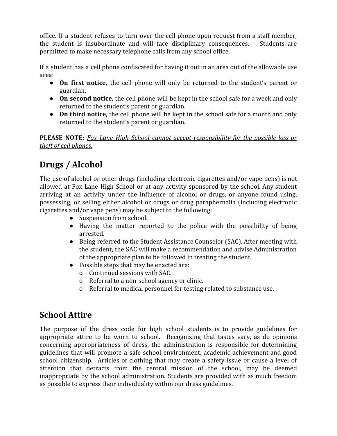office. If a student refuses to turn over the cell phone upon request from a staff member, the student is insubordinate and will face disciplinary consequences. Students are permitted to make necessary telephone calls from any school office.

If a student has a cell phone confiscated for having it out in an area out of the allowable use area:

- **On first notice**, the cell phone will only be returned to the student's parent or guardian.
- **On second notice**, the cell phone will be kept in the school safe for a week and only returned to the student's parent or guardian.
- **On third notice**, the cell phone will be kept in the school safe for a month and only returned to the student's parent or guardian.

**PLEASE NOTE:** *Fox Lane High School cannot accept responsibility for the possible loss or theft of cell phones.*

# <span id="page-20-0"></span>**Drugs / Alcohol**

The use of alcohol or other drugs (including electronic cigarettes and/or vape pens) is not allowed at Fox Lane High School or at any activity sponsored by the school. Any student arriving at an activity under the influence of alcohol or drugs, or anyone found using, possessing, or selling either alcohol or drugs or drug paraphernalia (including electronic cigarettes and/or vape pens) may be subject to the following:

- Suspension from school.
- Having the matter reported to the police with the possibility of being arrested.
- Being referred to the Student Assistance Counselor (SAC). After meeting with the student, the SAC will make a recommendation and advise Administration of the appropriate plan to be followed in treating the student.
- Possible steps that may be enacted are:
	- o Continued sessions with SAC.
	- o Referral to a non-school agency or clinic.
	- o Referral to medical personnel for testing related to substance use.

# <span id="page-20-1"></span>**School Attire**

The purpose of the dress code for high school students is to provide guidelines for appropriate attire to be worn to school. Recognizing that tastes vary, as do opinions concerning appropriateness of dress, the administration is responsible for determining guidelines that will promote a safe school environment, academic achievement and good school citizenship. Articles of clothing that may create a safety issue or cause a level of attention that detracts from the central mission of the school, may be deemed inappropriate by the school administration. Students are provided with as much freedom as possible to express their individuality within our dress guidelines.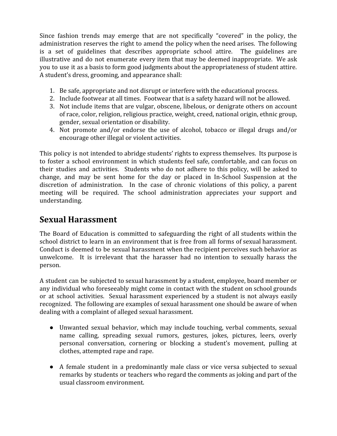Since fashion trends may emerge that are not specifically "covered" in the policy, the administration reserves the right to amend the policy when the need arises. The following is a set of guidelines that describes appropriate school attire. The guidelines are illustrative and do not enumerate every item that may be deemed inappropriate. We ask you to use it as a basis to form good judgments about the appropriateness of student attire. A student's dress, grooming, and appearance shall:

- 1. Be safe, appropriate and not disrupt or interfere with the educational process.
- 2. Include footwear at all times. Footwear that is a safety hazard will not be allowed.
- 3. Not include items that are vulgar, obscene, libelous, or denigrate others on account of race, color, religion, religious practice, weight, creed, national origin, ethnic group, gender, sexual orientation or disability.
- 4. Not promote and/or endorse the use of alcohol, tobacco or illegal drugs and/or encourage other illegal or violent activities.

This policy is not intended to abridge students' rights to express themselves. Its purpose is to foster a school environment in which students feel safe, comfortable, and can focus on their studies and activities. Students who do not adhere to this policy, will be asked to change, and may be sent home for the day or placed in In-School Suspension at the discretion of administration. In the case of chronic violations of this policy, a parent meeting will be required. The school administration appreciates your support and understanding.

### **Sexual Harassment**

The Board of Education is committed to safeguarding the right of all students within the school district to learn in an environment that is free from all forms of sexual harassment. Conduct is deemed to be sexual harassment when the recipient perceives such behavior as unwelcome. It is irrelevant that the harasser had no intention to sexually harass the person.

A student can be subjected to sexual harassment by a student, employee, board member or any individual who foreseeably might come in contact with the student on school grounds or at school activities. Sexual harassment experienced by a student is not always easily recognized. The following are examples of sexual harassment one should be aware of when dealing with a complaint of alleged sexual harassment.

- Unwanted sexual behavior, which may include touching, verbal comments, sexual name calling, spreading sexual rumors, gestures, jokes, pictures, leers, overly personal conversation, cornering or blocking a student's movement, pulling at clothes, attempted rape and rape.
- A female student in a predominantly male class or vice versa subjected to sexual remarks by students or teachers who regard the comments as joking and part of the usual classroom environment.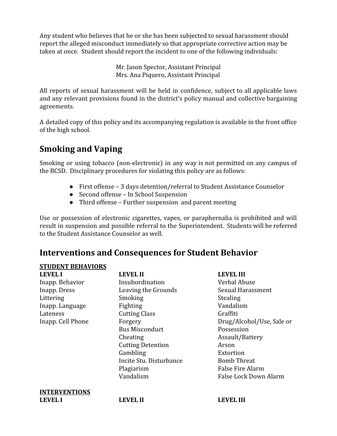Any student who believes that he or she has been subjected to sexual harassment should report the alleged misconduct immediately so that appropriate corrective action may be taken at once. Student should report the incident to one of the following individuals:

> Mr. Jason Spector, Assistant Principal Mrs. Ana Piquero, Assistant Principal

All reports of sexual harassment will be held in confidence, subject to all applicable laws and any relevant provisions found in the district's policy manual and collective bargaining agreements.

A detailed copy of this policy and its accompanying regulation is available in the front office of the high school.

# **Smoking and Vaping**

Smoking or using tobacco (non-electronic) in any way is not permitted on any campus of the BCSD. Disciplinary procedures for violating this policy are as follows:

- First offense 3 days detention/referral to Student Assistance Counselor
- Second offense In School Suspension
- Third offense Further suspension and parent meeting

Use or possession of electronic cigarettes, vapes, or paraphernalia is prohibited and will result in suspension and possible referral to the Superintendent. Students will be referred to the Student Assistance Counselor as well.

### **Interventions and Consequences for Student Behavior**

#### **STUDENT BEHAVIORS**

| <b>LEVEL I</b>       | <b>LEVEL II</b>          | <b>LEVEL III</b>          |
|----------------------|--------------------------|---------------------------|
| Inapp. Behavior      | Insubordination          | Verbal Abuse              |
| Inapp. Dress         | Leaving the Grounds      | Sexual Harassment         |
| Littering            | Smoking                  | <b>Stealing</b>           |
| Inapp. Language      | Fighting                 | Vandalism                 |
| Lateness             | <b>Cutting Class</b>     | Graffiti                  |
| Inapp. Cell Phone    | Forgery                  | Drug/Alcohol/Use, Sale or |
|                      | <b>Bus Misconduct</b>    | Possession                |
|                      | Cheating                 | Assault/Battery           |
|                      | <b>Cutting Detention</b> | Arson                     |
|                      | Gambling                 | Extortion                 |
|                      | Incite Stu. Disturbance  | <b>Bomb Threat</b>        |
|                      | Plagiarism               | <b>False Fire Alarm</b>   |
|                      | Vandalism                | False Lock Down Alarm     |
| <b>INTERVENTIONS</b> |                          |                           |
| <b>LEVEL I</b>       | <b>LEVEL II</b>          | <b>LEVEL III</b>          |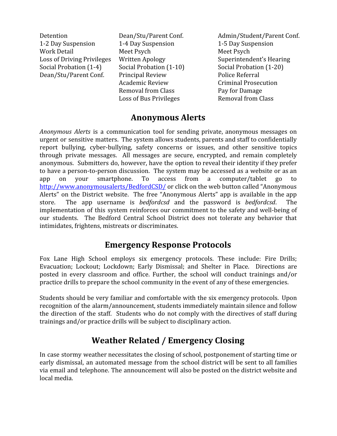1-2 Day Suspension 1-4 Day Suspension 1-5 Day Suspension Work Detail Meet Psych Meet Psych Meet Psych Social Probation (1-4) Social Probation (1-10) Social Probation (1-20) Dean/Stu/Parent Conf. Principal Review Police Referral

Academic Review Criminal Prosecution Removal from Class Pay for Damage Loss of Bus Privileges Removal from Class

Detention Dean/Stu/Parent Conf. Admin/Student/Parent Conf. Loss of Driving Privileges Written Apology Superintendent's Hearing

### **Anonymous Alerts**

<span id="page-23-0"></span>*Anonymous Alerts* is a communication tool for sending private, anonymous messages on urgent or sensitive matters. The system allows students, parents and staff to confidentially report bullying, cyber-bullying, safety concerns or issues, and other sensitive topics through private messages. All messages are secure, encrypted, and remain completely anonymous. Submitters do, however, have the option to reveal their identity if they prefer to have a person-to-person discussion. The system may be accessed as a website or as an app on your smartphone. To access from a computer/tablet go to [http://www.anonymousalerts/BedfordCSD/](https://www.anonymousalerts.com/bedfordcsd/default.aspx) or click on the web button called "Anonymous Alerts" on the District website. The free "Anonymous Alerts" app is available in the app store. The app username is *bedfordcsd* and the password is *bedfordcsd*. The implementation of this system reinforces our commitment to the safety and well-being of our students. The Bedford Central School District does not tolerate any behavior that intimidates, frightens, mistreats or discriminates.

### **Emergency Response Protocols**

<span id="page-23-1"></span>Fox Lane High School employs six emergency protocols. These include: Fire Drills; Evacuation; Lockout; Lockdown; Early Dismissal; and Shelter in Place. Directions are posted in every classroom and office. Further, the school will conduct trainings and/or practice drills to prepare the school community in the event of any of these emergencies.

Students should be very familiar and comfortable with the six emergency protocols. Upon recognition of the alarm/announcement, students immediately maintain silence and follow the direction of the staff. Students who do not comply with the directives of staff during trainings and/or practice drills will be subject to disciplinary action.

# **Weather Related / Emergency Closing**

<span id="page-23-2"></span>In case stormy weather necessitates the closing of school, postponement of starting time or early dismissal, an automated message from the school district will be sent to all families via email and telephone. The announcement will also be posted on the district website and local media.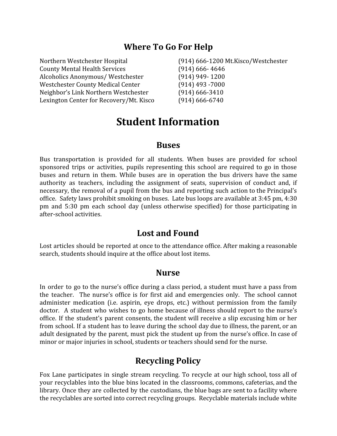### **Where To Go For Help**

<span id="page-24-1"></span><span id="page-24-0"></span>

| Northern Westchester Hospital           | (914) 666-1200 Mt.Kisco/Westchester |
|-----------------------------------------|-------------------------------------|
| <b>County Mental Health Services</b>    | $(914)$ 666-4646                    |
| Alcoholics Anonymous/Westchester        | $(914)$ 949-1200                    |
| Westchester County Medical Center       | $(914)$ 493 - 7000                  |
| Neighbor's Link Northern Westchester    | $(914)$ 666-3410                    |
| Lexington Center for Recovery/Mt. Kisco | $(914)$ 666-6740                    |

# **Student Information**

#### **Buses**

<span id="page-24-2"></span>Bus transportation is provided for all students. When buses are provided for school sponsored trips or activities, pupils representing this school are required to go in those buses and return in them. While buses are in operation the bus drivers have the same authority as teachers, including the assignment of seats, supervision of conduct and, if necessary, the removal of a pupil from the bus and reporting such action to the Principal's office. Safety laws prohibit smoking on buses. Late bus loops are available at 3:45 pm, 4:30 pm and 5:30 pm each school day (unless otherwise specified) for those participating in after-school activities.

### **Lost and Found**

<span id="page-24-4"></span><span id="page-24-3"></span>Lost articles should be reported at once to the attendance office. After making a reasonable search, students should inquire at the office about lost items.

#### **Nurse**

In order to go to the nurse's office during a class period, a student must have a pass from the teacher. The nurse's office is for first aid and emergencies only. The school cannot administer medication (i.e. aspirin, eye drops, etc.) without permission from the family doctor. A student who wishes to go home because of illness should report to the nurse's office. If the student's parent consents, the student will receive a slip excusing him or her from school. If a student has to leave during the school day due to illness, the parent, or an adult designated by the parent, must pick the student up from the nurse's office. In case of minor or major injuries in school, students or teachers should send for the nurse.

### **Recycling Policy**

<span id="page-24-5"></span>Fox Lane participates in single stream recycling. To recycle at our high school, toss all of your recyclables into the blue bins located in the classrooms, commons, cafeterias, and the library. Once they are collected by the custodians, the blue bags are sent to a facility where the recyclables are sorted into correct recycling groups. Recyclable materials include white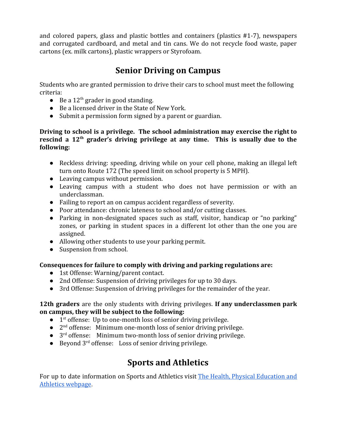<span id="page-25-0"></span>and colored papers, glass and plastic bottles and containers (plastics #1-7), newspapers and corrugated cardboard, and metal and tin cans. We do not recycle food waste, paper cartons (ex. milk cartons), plastic wrappers or Styrofoam.

# **Senior Driving on Campus**

Students who are granted permission to drive their cars to school must meet the following criteria:

- $\bullet$  Be a 12<sup>th</sup> grader in good standing.
- Be a licensed driver in the State of New York.
- Submit a permission form signed by a parent or guardian.

#### **Driving to school is a privilege. The school administration may exercise the right to rescind a 12th grader's driving privilege at any time. This is usually due to the following:**

- Reckless driving: speeding, driving while on your cell phone, making an illegal left turn onto Route 172 (The speed limit on school property is 5 MPH).
- Leaving campus without permission.
- Leaving campus with a student who does not have permission or with an underclassman.
- Failing to report an on campus accident regardless of severity.
- Poor attendance: chronic lateness to school and/or cutting classes.
- Parking in non-designated spaces such as staff, visitor, handicap or "no parking" zones, or parking in student spaces in a different lot other than the one you are assigned.
- Allowing other students to use your parking permit.
- Suspension from school.

#### **Consequences for failure to comply with driving and parking regulations are:**

- 1st Offense: Warning/parent contact.
- 2nd Offense: Suspension of driving privileges for up to 30 days.
- 3rd Offense: Suspension of driving privileges for the remainder of the year.

#### **12th graders** are the only students with driving privileges. **If any underclassmen park on campus, they will be subject to the following:**

- 1<sup>st</sup> offense: Up to one-month loss of senior driving privilege.
- $\bullet$   $2<sup>nd</sup>$  offense: Minimum one-month loss of senior driving privilege.
- 3<sup>rd</sup> offense: Minimum two-month loss of senior driving privilege.
- Beyond 3<sup>rd</sup> offense: Loss of senior driving privilege.

# **Sports and Athletics**

For up to date information on Sports and Athletics visit The Health, Physical [Education](https://www.bcsdny.org/domain/493) and [Athletics webpage](https://www.bcsdny.org/domain/493).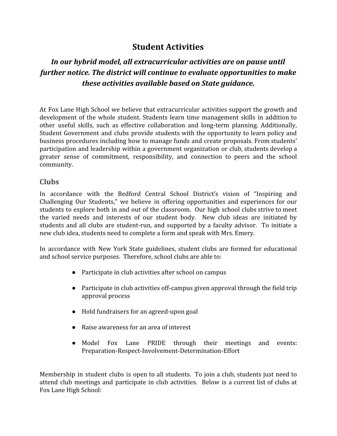### **Student Activities**

### *In our hybrid model, all extracurricular activities are on pause until further notice. The district will continue to evaluate opportunities to make these activities available based on State guidance.*

At Fox Lane High School we believe that extracurricular activities support the growth and development of the whole student. Students learn time management skills in addition to other useful skills, such as effective collaboration and long-term planning. Additionally, Student Government and clubs provide students with the opportunity to learn policy and business procedures including how to manage funds and create proposals. From students' participation and leadership within a government organization or club, students develop a greater sense of commitment, responsibility, and connection to peers and the school community.

#### <span id="page-26-0"></span>**Clubs**

In accordance with the Bedford Central School District's vision of "Inspiring and Challenging Our Students," we believe in offering opportunities and experiences for our students to explore both in and out of the classroom. Our high school clubs strive to meet the varied needs and interests of our student body. New club ideas are initiated by students and all clubs are student-run, and supported by a faculty advisor. To initiate a new club idea, students need to complete a form and speak with Mrs. Emery.

In accordance with New York State guidelines, student clubs are formed for educational and school service purposes. Therefore, school clubs are able to:

- Participate in club activities after school on campus
- Participate in club activities off-campus given approval through the field trip approval process
- Hold fundraisers for an agreed-upon goal
- Raise awareness for an area of interest
- Model Fox Lane PRIDE through their meetings and events: Preparation-Respect-Involvement-Determination-Effort

Membership in student clubs is open to all students. To join a club, students just need to attend club meetings and participate in club activities. Below is a current list of clubs at Fox Lane High School: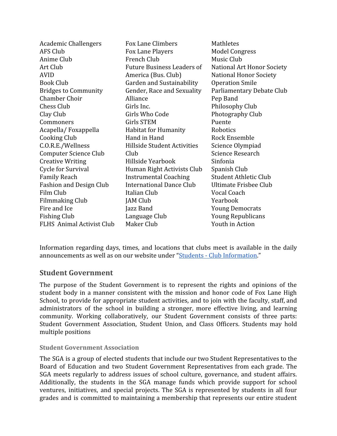| <b>Academic Challengers</b>      | Fox Lane Climbers                 | Mathletes                    |
|----------------------------------|-----------------------------------|------------------------------|
| AFS Club                         | Fox Lane Players                  | <b>Model Congress</b>        |
| Anime Club                       | French Club                       | Music Club                   |
| Art Club                         | <b>Future Business Leaders of</b> | National Art Honor Society   |
| <b>AVID</b>                      | America (Bus. Club)               | National Honor Society       |
| <b>Book Club</b>                 | Garden and Sustainability         | <b>Operation Smile</b>       |
| <b>Bridges to Community</b>      | Gender, Race and Sexuality        | Parliamentary Debate Club    |
| <b>Chamber Choir</b>             | Alliance                          | Pep Band                     |
| <b>Chess Club</b>                | Girls Inc.                        | Philosophy Club              |
| Clay Club                        | Girls Who Code                    | Photography Club             |
| Commoners                        | <b>Girls STEM</b>                 | Puente                       |
| Acapella/Foxappella              | <b>Habitat for Humanity</b>       | Robotics                     |
| <b>Cooking Club</b>              | Hand in Hand                      | <b>Rock Ensemble</b>         |
| C.O.R.E./Wellness                | Hillside Student Activities       | Science Olympiad             |
| <b>Computer Science Club</b>     | Club                              | Science Research             |
| <b>Creative Writing</b>          | Hillside Yearbook                 | Sinfonia                     |
| Cycle for Survival               | Human Right Activists Club        | Spanish Club                 |
| <b>Family Reach</b>              | <b>Instrumental Coaching</b>      | <b>Student Athletic Club</b> |
| <b>Fashion and Design Club</b>   | <b>International Dance Club</b>   | Ultimate Frisbee Club        |
| Film Club                        | Italian Club                      | Vocal Coach                  |
| <b>Filmmaking Club</b>           | <b>JAM Club</b>                   | Yearbook                     |
| Fire and Ice                     | Jazz Band                         | <b>Young Democrats</b>       |
| <b>Fishing Club</b>              | Language Club                     | <b>Young Republicans</b>     |
| <b>FLHS</b> Animal Activist Club | Maker Club                        | Youth in Action              |

Information regarding days, times, and locations that clubs meet is available in the daily announcements as well as on our website under "[Students - Club Information](https://www.bcsdny.org/Domain/144)."

#### **Student Government**

The purpose of the Student Government is to represent the rights and opinions of the student body in a manner consistent with the mission and honor code of Fox Lane High School, to provide for appropriate student activities, and to join with the faculty, staff, and administrators of the school in building a stronger, more effective living, and learning community. Working collaboratively, our Student Government consists of three parts: Student Government Association, Student Union, and Class Officers. Students may hold multiple positions

#### <span id="page-27-0"></span>**Student Government Association**

The SGA is a group of elected students that include our two Student Representatives to the Board of Education and two Student Government Representatives from each grade. The SGA meets regularly to address issues of school culture, governance, and student affairs. Additionally, the students in the SGA manage funds which provide support for school ventures, initiatives, and special projects. The SGA is represented by students in all four grades and is committed to maintaining a membership that represents our entire student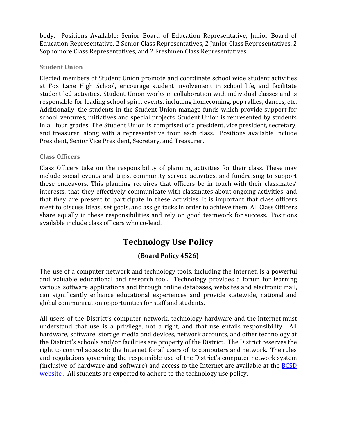body. Positions Available: Senior Board of Education Representative, Junior Board of Education Representative, 2 Senior Class Representatives, 2 Junior Class Representatives, 2 Sophomore Class Representatives, and 2 Freshmen Class Representatives.

#### <span id="page-28-0"></span>**Student Union**

Elected members of Student Union promote and coordinate school wide student activities at Fox Lane High School, encourage student involvement in school life, and facilitate student-led activities. Student Union works in collaboration with individual classes and is responsible for leading school spirit events, including homecoming, pep rallies, dances, etc. Additionally, the students in the Student Union manage funds which provide support for school ventures, initiatives and special projects. Student Union is represented by students in all four grades. The Student Union is comprised of a president, vice president, secretary, and treasurer, along with a representative from each class. Positions available include President, Senior Vice President, Secretary, and Treasurer.

#### <span id="page-28-1"></span>**Class Officers**

Class Officers take on the responsibility of planning activities for their class. These may include social events and trips, community service activities, and fundraising to support these endeavors. This planning requires that officers be in touch with their classmates' interests, that they effectively communicate with classmates about ongoing activities, and that they are present to participate in these activities. It is important that class officers meet to discuss ideas, set goals, and assign tasks in order to achieve them. All Class Officers share equally in these responsibilities and rely on good teamwork for success. Positions available include class officers who co-lead.

# **Technology Use Policy**

#### **(Board Policy 4526)**

<span id="page-28-2"></span>The use of a computer network and technology tools, including the Internet, is a powerful and valuable educational and research tool. Technology provides a forum for learning various software applications and through online databases, websites and electronic mail, can significantly enhance educational experiences and provide statewide, national and global communication opportunities for staff and students.

All users of the District's computer network, technology hardware and the Internet must understand that use is a privilege, not a right, and that use entails responsibility. All hardware, software, storage media and devices, network accounts, and other technology at the District's schools and/or facilities are property of the District. The District reserves the right to control access to the Internet for all users of its computers and network. The rules and regulations governing the responsible use of the District's computer network system (inclusive of hardware and software) and access to the Internet are available at the [BCSD](http://go.boarddocs.com/ny/bcsd/Board.nsf/goto?open&id=ATSJLK4D6BB4) [website .](http://go.boarddocs.com/ny/bcsd/Board.nsf/goto?open&id=ATSJLK4D6BB4) All students are expected to adhere to the technology use policy.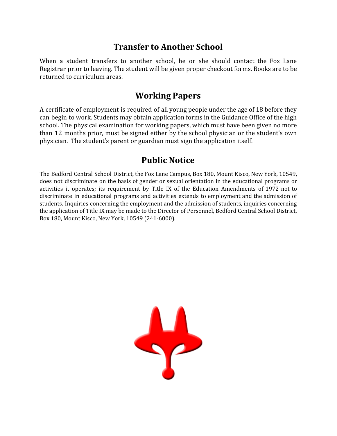### **Transfer to Another School**

<span id="page-29-0"></span>When a student transfers to another school, he or she should contact the Fox Lane Registrar prior to leaving. The student will be given proper checkout forms. Books are to be returned to curriculum areas.

### **Working Papers**

A certificate of employment is required of all young people under the age of 18 before they can begin to work. Students may obtain application forms in the Guidance Office of the high school. The physical examination for working papers, which must have been given no more than 12 months prior, must be signed either by the school physician or the student's own physician. The student's parent or guardian must sign the application itself.

### **Public Notice**

<span id="page-29-1"></span>The Bedford Central School District, the Fox Lane Campus, Box 180, Mount Kisco, New York, 10549, does not discriminate on the basis of gender or sexual orientation in the educational programs or activities it operates; its requirement by Title IX of the Education Amendments of 1972 not to discriminate in educational programs and activities extends to employment and the admission of students. Inquiries concerning the employment and the admission of students, inquiries concerning the application of Title IX may be made to the Director of Personnel, Bedford Central School District, Box 180, Mount Kisco, New York, 10549 (241-6000).